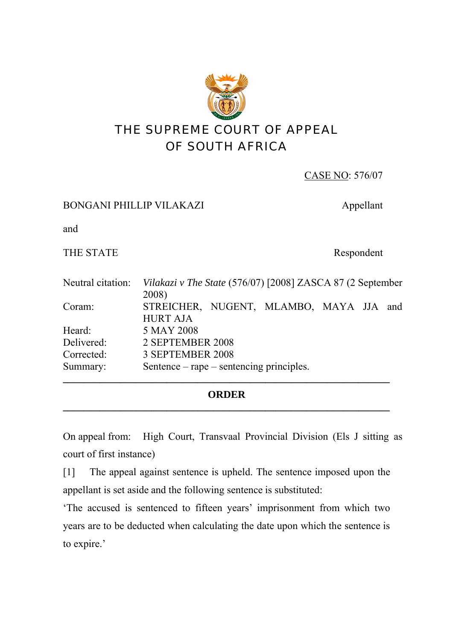

| CASE NO: 576/07 |  |
|-----------------|--|
|-----------------|--|

## BONGANI PHILLIP VILAKAZI Appellant

and

THE STATE Respondent

| Neutral citation: | Vilakazi v The State (576/07) [2008] ZASCA 87 (2 September |  |
|-------------------|------------------------------------------------------------|--|
| Coram:            | 2008)<br>STREICHER, NUGENT, MLAMBO, MAYA JJA and           |  |
|                   | <b>HURT AJA</b>                                            |  |
| Heard:            | 5 MAY 2008                                                 |  |
| Delivered:        | 2 SEPTEMBER 2008                                           |  |
| Corrected:        | 3 SEPTEMBER 2008                                           |  |
| Summary:          | Sentence $-$ rape $-$ sentencing principles.               |  |
|                   |                                                            |  |

## **ORDER \_\_\_\_\_\_\_\_\_\_\_\_\_\_\_\_\_\_\_\_\_\_\_\_\_\_\_\_\_\_\_\_\_\_\_\_\_\_\_\_\_\_\_\_\_\_\_\_\_\_\_\_\_\_\_\_\_\_\_\_\_\_\_**

On appeal from: High Court, Transvaal Provincial Division (Els J sitting as court of first instance)

[1] The appeal against sentence is upheld. The sentence imposed upon the appellant is set aside and the following sentence is substituted:

'The accused is sentenced to fifteen years' imprisonment from which two years are to be deducted when calculating the date upon which the sentence is to expire.'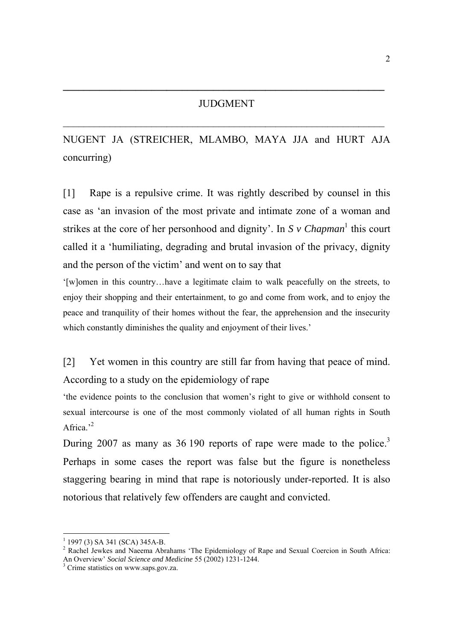**\_\_\_\_\_\_\_\_\_\_\_\_\_\_\_\_\_\_\_\_\_\_\_\_\_\_\_\_\_\_\_\_\_\_\_\_\_\_\_\_\_\_\_\_\_\_\_\_\_\_\_\_\_\_\_\_\_\_\_\_\_\_**

NUGENT JA (STREICHER, MLAMBO, MAYA JJA and HURT AJA concurring)

[1] Rape is a repulsive crime. It was rightly described by counsel in this case as 'an invasion of the most private and intimate zone of a woman and strikes at the core of her personhood and dignity'. In  $S$  v *Chapman*<sup>1</sup> this court called it a 'humiliating, degrading and brutal invasion of the privacy, dignity and the person of the victim' and went on to say that

'[w]omen in this country…have a legitimate claim to walk peacefully on the streets, to enjoy their shopping and their entertainment, to go and come from work, and to enjoy the peace and tranquility of their homes without the fear, the apprehension and the insecurity which constantly diminishes the quality and enjoyment of their lives.'

[2] Yet women in this country are still far from having that peace of mind. According to a study on the epidemiology of rape

'the evidence points to the conclusion that women's right to give or withhold consent to sexual intercourse is one of the most commonly violated of all human rights in South Africa.<sup>2</sup>

During 2007 as many as 36 190 reports of rape were made to the police.<sup>3</sup> Perhaps in some cases the report was false but the figure is nonetheless staggering bearing in mind that rape is notoriously under-reported. It is also notorious that relatively few offenders are caught and convicted.

<sup>&</sup>lt;sup>1</sup> 1997 (3) SA 341 (SCA) 345A-B.

<sup>&</sup>lt;sup>2</sup> Rachel Jewkes and Naeema Abrahams 'The Epidemiology of Rape and Sexual Coercion in South Africa: An Overview' *Social Science and Medicine* 55 (2002) 1231-1244.<br><sup>3</sup> Crime statistics on www.saps.gov.za.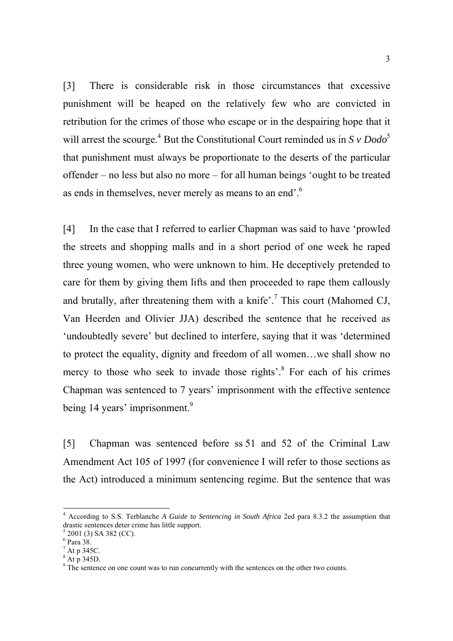[3] There is considerable risk in those circumstances that excessive punishment will be heaped on the relatively few who are convicted in retribution for the crimes of those who escape or in the despairing hope that it will arrest the scourge.<sup>4</sup> But the Constitutional Court reminded us in  $S \nu Dodo^5$ that punishment must always be proportionate to the deserts of the particular offender – no less but also no more – for all human beings 'ought to be treated as ends in themselves, never merely as means to an end'.<sup>6</sup>

[4] In the case that I referred to earlier Chapman was said to have 'prowled the streets and shopping malls and in a short period of one week he raped three young women, who were unknown to him. He deceptively pretended to care for them by giving them lifts and then proceeded to rape them callously and brutally, after threatening them with a knife'.<sup>7</sup> This court (Mahomed CJ, Van Heerden and Olivier JJA) described the sentence that he received as 'undoubtedly severe' but declined to interfere, saying that it was 'determined to protect the equality, dignity and freedom of all women…we shall show no mercy to those who seek to invade those rights<sup>3</sup>.<sup>8</sup> For each of his crimes Chapman was sentenced to 7 years' imprisonment with the effective sentence being 14 years' imprisonment.<sup>9</sup>

[5] Chapman was sentenced before ss 51 and 52 of the Criminal Law Amendment Act 105 of 1997 (for convenience I will refer to those sections as the Act) introduced a minimum sentencing regime. But the sentence that was

1

 $8$  At p 345D.

<sup>4</sup> According to S.S. Terblanche *A Guide to Sentencing in South Africa* 2ed para 8.3.2 the assumption that drastic sentences deter crime has little support.

 $5$  2001 (3) SA 382 (CC).

<sup>6</sup> Para 38.

 $^7$  At p 345C.

<sup>&</sup>lt;sup>9</sup> The sentence on one count was to run concurrently with the sentences on the other two counts.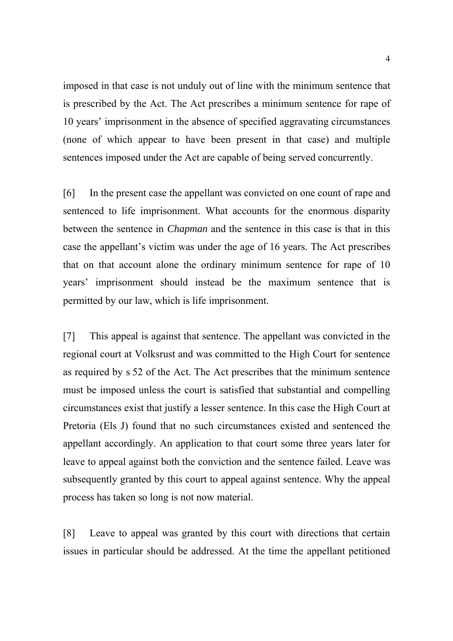imposed in that case is not unduly out of line with the minimum sentence that is prescribed by the Act. The Act prescribes a minimum sentence for rape of 10 years' imprisonment in the absence of specified aggravating circumstances (none of which appear to have been present in that case) and multiple sentences imposed under the Act are capable of being served concurrently.

[6] In the present case the appellant was convicted on one count of rape and sentenced to life imprisonment. What accounts for the enormous disparity between the sentence in *Chapman* and the sentence in this case is that in this case the appellant's victim was under the age of 16 years. The Act prescribes that on that account alone the ordinary minimum sentence for rape of 10 years' imprisonment should instead be the maximum sentence that is permitted by our law, which is life imprisonment.

[7] This appeal is against that sentence. The appellant was convicted in the regional court at Volksrust and was committed to the High Court for sentence as required by s 52 of the Act. The Act prescribes that the minimum sentence must be imposed unless the court is satisfied that substantial and compelling circumstances exist that justify a lesser sentence. In this case the High Court at Pretoria (Els J) found that no such circumstances existed and sentenced the appellant accordingly. An application to that court some three years later for leave to appeal against both the conviction and the sentence failed. Leave was subsequently granted by this court to appeal against sentence. Why the appeal process has taken so long is not now material.

[8] Leave to appeal was granted by this court with directions that certain issues in particular should be addressed. At the time the appellant petitioned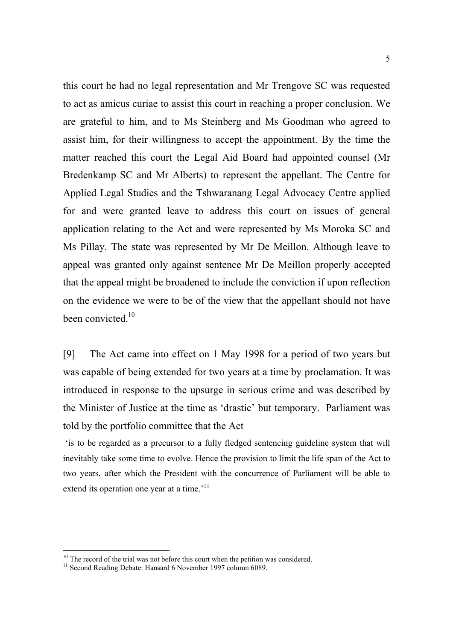this court he had no legal representation and Mr Trengove SC was requested to act as amicus curiae to assist this court in reaching a proper conclusion. We are grateful to him, and to Ms Steinberg and Ms Goodman who agreed to assist him, for their willingness to accept the appointment. By the time the matter reached this court the Legal Aid Board had appointed counsel (Mr Bredenkamp SC and Mr Alberts) to represent the appellant. The Centre for Applied Legal Studies and the Tshwaranang Legal Advocacy Centre applied for and were granted leave to address this court on issues of general application relating to the Act and were represented by Ms Moroka SC and Ms Pillay. The state was represented by Mr De Meillon. Although leave to appeal was granted only against sentence Mr De Meillon properly accepted that the appeal might be broadened to include the conviction if upon reflection on the evidence we were to be of the view that the appellant should not have been convicted  $10$ 

[9] The Act came into effect on 1 May 1998 for a period of two years but was capable of being extended for two years at a time by proclamation. It was introduced in response to the upsurge in serious crime and was described by the Minister of Justice at the time as 'drastic' but temporary. Parliament was told by the portfolio committee that the Act

 'is to be regarded as a precursor to a fully fledged sentencing guideline system that will inevitably take some time to evolve. Hence the provision to limit the life span of the Act to two years, after which the President with the concurrence of Parliament will be able to extend its operation one year at a time.<sup>'11</sup>

 $10$  The record of the trial was not before this court when the petition was considered.

<sup>&</sup>lt;sup>11</sup> Second Reading Debate: Hansard 6 November 1997 column 6089.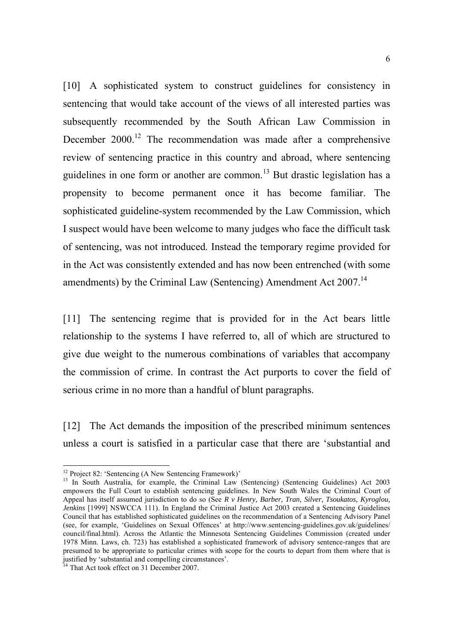[10] A sophisticated system to construct guidelines for consistency in sentencing that would take account of the views of all interested parties was subsequently recommended by the South African Law Commission in December 2000.<sup>12</sup> The recommendation was made after a comprehensive review of sentencing practice in this country and abroad, where sentencing guidelines in one form or another are common.<sup>13</sup> But drastic legislation has a propensity to become permanent once it has become familiar. The sophisticated guideline-system recommended by the Law Commission, which I suspect would have been welcome to many judges who face the difficult task of sentencing, was not introduced. Instead the temporary regime provided for in the Act was consistently extended and has now been entrenched (with some amendments) by the Criminal Law (Sentencing) Amendment Act 2007.<sup>14</sup>

[11] The sentencing regime that is provided for in the Act bears little relationship to the systems I have referred to, all of which are structured to give due weight to the numerous combinations of variables that accompany the commission of crime. In contrast the Act purports to cover the field of serious crime in no more than a handful of blunt paragraphs.

[12] The Act demands the imposition of the prescribed minimum sentences unless a court is satisfied in a particular case that there are 'substantial and

<sup>&</sup>lt;sup>12</sup> Project 82: 'Sentencing (A New Sentencing Framework)'

<sup>&</sup>lt;sup>13</sup> In South Australia, for example, the Criminal Law (Sentencing) (Sentencing Guidelines) Act 2003 empowers the Full Court to establish sentencing guidelines. In New South Wales the Criminal Court of Appeal has itself assumed jurisdiction to do so (See *R v Henry, Barber, Tran, Silver, Tsoukatos, Kyroglou, Jenkins* [1999] NSWCCA 111). In England the Criminal Justice Act 2003 created a Sentencing Guidelines Council that has established sophisticated guidelines on the recommendation of a Sentencing Advisory Panel (see, for example, 'Guidelines on Sexual Offences' at http://www.sentencing-guidelines.gov.uk/guidelines/ council/final.html). Across the Atlantic the Minnesota Sentencing Guidelines Commission (created under 1978 Minn. Laws, ch. 723) has established a sophisticated framework of advisory sentence-ranges that are presumed to be appropriate to particular crimes with scope for the courts to depart from them where that is justified by 'substantial and compelling circumstances'.

<sup>&</sup>lt;sup>14</sup> That Act took effect on 31 December 2007.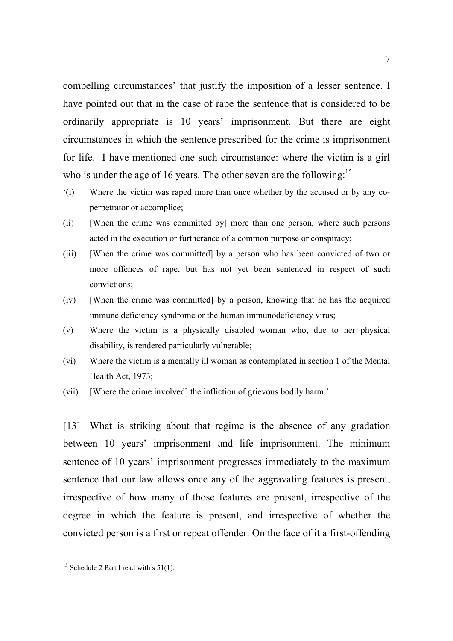compelling circumstances' that justify the imposition of a lesser sentence. I have pointed out that in the case of rape the sentence that is considered to be ordinarily appropriate is 10 years' imprisonment. But there are eight circumstances in which the sentence prescribed for the crime is imprisonment for life. I have mentioned one such circumstance: where the victim is a girl who is under the age of 16 years. The other seven are the following:<sup>15</sup>

- '(i) Where the victim was raped more than once whether by the accused or by any coperpetrator or accomplice;
- (ii) [When the crime was committed by] more than one person, where such persons acted in the execution or furtherance of a common purpose or conspiracy;
- (iii) [When the crime was committed] by a person who has been convicted of two or more offences of rape, but has not yet been sentenced in respect of such convictions;
- (iv) [When the crime was committed] by a person, knowing that he has the acquired immune deficiency syndrome or the human immunodeficiency virus;
- (v) Where the victim is a physically disabled woman who, due to her physical disability, is rendered particularly vulnerable;
- (vi) Where the victim is a mentally ill woman as contemplated in section 1 of the Mental Health Act, 1973;
- (vii) [Where the crime involved] the infliction of grievous bodily harm.'

[13] What is striking about that regime is the absence of any gradation between 10 years' imprisonment and life imprisonment. The minimum sentence of 10 years' imprisonment progresses immediately to the maximum sentence that our law allows once any of the aggravating features is present, irrespective of how many of those features are present, irrespective of the degree in which the feature is present, and irrespective of whether the convicted person is a first or repeat offender. On the face of it a first-offending

<sup>&</sup>lt;sup>15</sup> Schedule 2 Part I read with s  $51(1)$ .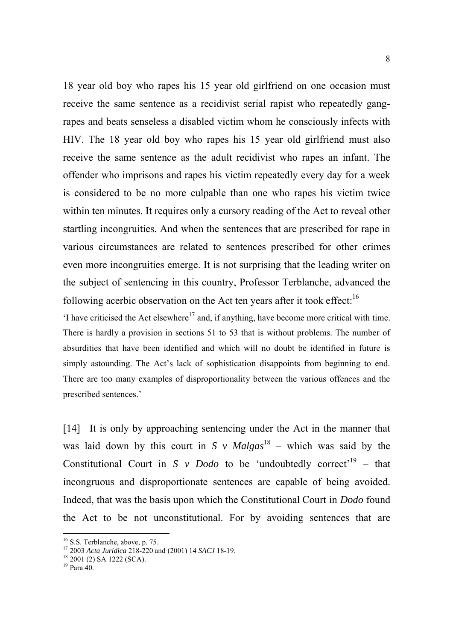18 year old boy who rapes his 15 year old girlfriend on one occasion must receive the same sentence as a recidivist serial rapist who repeatedly gangrapes and beats senseless a disabled victim whom he consciously infects with HIV. The 18 year old boy who rapes his 15 year old girlfriend must also receive the same sentence as the adult recidivist who rapes an infant. The offender who imprisons and rapes his victim repeatedly every day for a week is considered to be no more culpable than one who rapes his victim twice within ten minutes. It requires only a cursory reading of the Act to reveal other startling incongruities. And when the sentences that are prescribed for rape in various circumstances are related to sentences prescribed for other crimes even more incongruities emerge. It is not surprising that the leading writer on the subject of sentencing in this country, Professor Terblanche, advanced the following acerbic observation on the Act ten years after it took effect:  $16$ 

 $\cdot$ I have criticised the Act elsewhere<sup>17</sup> and, if anything, have become more critical with time. There is hardly a provision in sections 51 to 53 that is without problems. The number of absurdities that have been identified and which will no doubt be identified in future is simply astounding. The Act's lack of sophistication disappoints from beginning to end. There are too many examples of disproportionality between the various offences and the prescribed sentences.'

[14] It is only by approaching sentencing under the Act in the manner that was laid down by this court in *S v Malgas*<sup>18</sup> – which was said by the Constitutional Court in *S v Dodo* to be 'undoubtedly correct'<sup>19</sup> – that incongruous and disproportionate sentences are capable of being avoided. Indeed, that was the basis upon which the Constitutional Court in *Dodo* found the Act to be not unconstitutional. For by avoiding sentences that are

<sup>&</sup>lt;sup>16</sup> S.S. Terblanche, above, p. 75.

<sup>&</sup>lt;sup>17</sup> 2003 *Acta Juridica* 218-220 and (2001) 14 *SACJ* 18-19.<br><sup>18</sup> 2001 (2) SA 1222 (SCA).

<sup>19</sup> Para 40.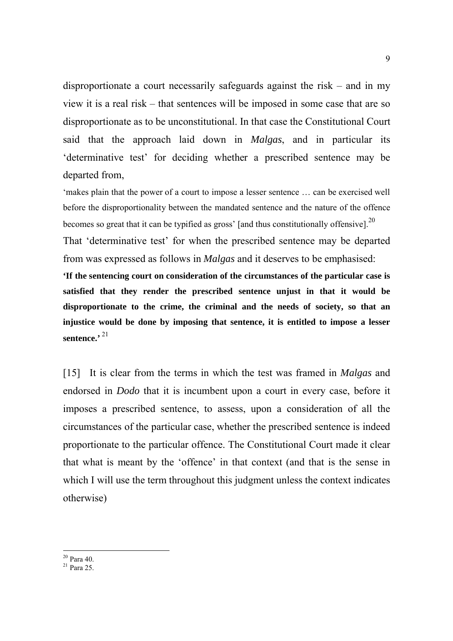disproportionate a court necessarily safeguards against the risk – and in my view it is a real risk – that sentences will be imposed in some case that are so disproportionate as to be unconstitutional. In that case the Constitutional Court said that the approach laid down in *Malgas*, and in particular its 'determinative test' for deciding whether a prescribed sentence may be departed from,

'makes plain that the power of a court to impose a lesser sentence … can be exercised well before the disproportionality between the mandated sentence and the nature of the offence becomes so great that it can be typified as gross' [and thus constitutionally offensive].<sup>20</sup>

That 'determinative test' for when the prescribed sentence may be departed from was expressed as follows in *Malgas* and it deserves to be emphasised:

**'If the sentencing court on consideration of the circumstances of the particular case is satisfied that they render the prescribed sentence unjust in that it would be disproportionate to the crime, the criminal and the needs of society, so that an injustice would be done by imposing that sentence, it is entitled to impose a lesser sentence.'** <sup>21</sup>

[15] It is clear from the terms in which the test was framed in *Malgas* and endorsed in *Dodo* that it is incumbent upon a court in every case, before it imposes a prescribed sentence, to assess, upon a consideration of all the circumstances of the particular case, whether the prescribed sentence is indeed proportionate to the particular offence. The Constitutional Court made it clear that what is meant by the 'offence' in that context (and that is the sense in which I will use the term throughout this judgment unless the context indicates otherwise)

 $20$  Para 40.

 $^{21}$  Para 25.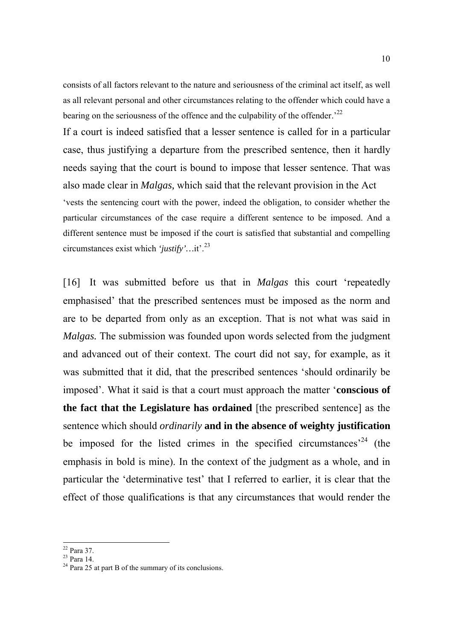consists of all factors relevant to the nature and seriousness of the criminal act itself, as well as all relevant personal and other circumstances relating to the offender which could have a bearing on the seriousness of the offence and the culpability of the offender.<sup> $22$ </sup>

If a court is indeed satisfied that a lesser sentence is called for in a particular case, thus justifying a departure from the prescribed sentence, then it hardly needs saying that the court is bound to impose that lesser sentence. That was also made clear in *Malgas,* which said that the relevant provision in the Act 'vests the sentencing court with the power, indeed the obligation, to consider whether the particular circumstances of the case require a different sentence to be imposed. And a different sentence must be imposed if the court is satisfied that substantial and compelling circumstances exist which *'justify'…*it'.<sup>23</sup>

[16] It was submitted before us that in *Malgas* this court 'repeatedly emphasised' that the prescribed sentences must be imposed as the norm and are to be departed from only as an exception. That is not what was said in *Malgas.* The submission was founded upon words selected from the judgment and advanced out of their context. The court did not say, for example, as it was submitted that it did, that the prescribed sentences 'should ordinarily be imposed'. What it said is that a court must approach the matter '**conscious of the fact that the Legislature has ordained** [the prescribed sentence] as the sentence which should *ordinarily* **and in the absence of weighty justification** be imposed for the listed crimes in the specified circumstances<sup>24</sup> (the emphasis in bold is mine). In the context of the judgment as a whole, and in particular the 'determinative test' that I referred to earlier, it is clear that the effect of those qualifications is that any circumstances that would render the

 $22$  Para 37.

 $23$  Para 14.<br>
<sup>24</sup> Para 25 at part B of the summary of its conclusions.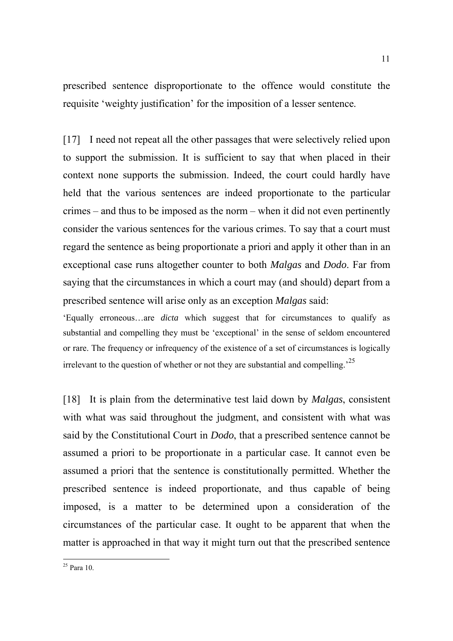prescribed sentence disproportionate to the offence would constitute the requisite 'weighty justification' for the imposition of a lesser sentence.

[17] I need not repeat all the other passages that were selectively relied upon to support the submission. It is sufficient to say that when placed in their context none supports the submission. Indeed, the court could hardly have held that the various sentences are indeed proportionate to the particular crimes – and thus to be imposed as the norm – when it did not even pertinently consider the various sentences for the various crimes. To say that a court must regard the sentence as being proportionate a priori and apply it other than in an exceptional case runs altogether counter to both *Malgas* and *Dodo*. Far from saying that the circumstances in which a court may (and should) depart from a prescribed sentence will arise only as an exception *Malgas* said:

'Equally erroneous…are *dicta* which suggest that for circumstances to qualify as substantial and compelling they must be 'exceptional' in the sense of seldom encountered or rare. The frequency or infrequency of the existence of a set of circumstances is logically irrelevant to the question of whether or not they are substantial and compelling.<sup>25</sup>

[18] It is plain from the determinative test laid down by *Malgas*, consistent with what was said throughout the judgment, and consistent with what was said by the Constitutional Court in *Dodo*, that a prescribed sentence cannot be assumed a priori to be proportionate in a particular case. It cannot even be assumed a priori that the sentence is constitutionally permitted. Whether the prescribed sentence is indeed proportionate, and thus capable of being imposed, is a matter to be determined upon a consideration of the circumstances of the particular case. It ought to be apparent that when the matter is approached in that way it might turn out that the prescribed sentence

 $^{25}$  Para 10.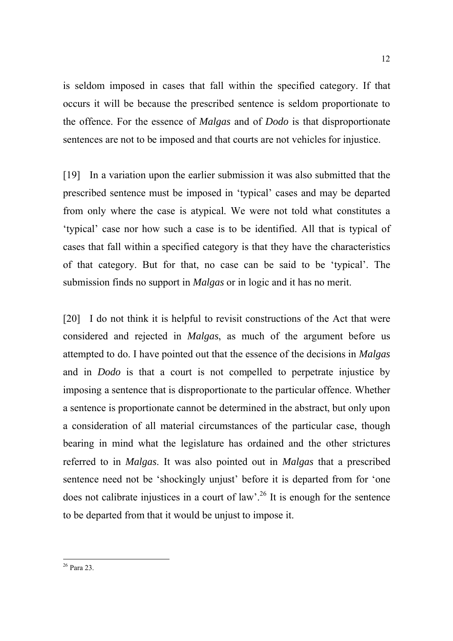is seldom imposed in cases that fall within the specified category. If that occurs it will be because the prescribed sentence is seldom proportionate to the offence. For the essence of *Malgas* and of *Dodo* is that disproportionate sentences are not to be imposed and that courts are not vehicles for injustice.

[19] In a variation upon the earlier submission it was also submitted that the prescribed sentence must be imposed in 'typical' cases and may be departed from only where the case is atypical. We were not told what constitutes a 'typical' case nor how such a case is to be identified. All that is typical of cases that fall within a specified category is that they have the characteristics of that category. But for that, no case can be said to be 'typical'. The submission finds no support in *Malgas* or in logic and it has no merit.

[20] I do not think it is helpful to revisit constructions of the Act that were considered and rejected in *Malgas*, as much of the argument before us attempted to do. I have pointed out that the essence of the decisions in *Malgas* and in *Dodo* is that a court is not compelled to perpetrate injustice by imposing a sentence that is disproportionate to the particular offence. Whether a sentence is proportionate cannot be determined in the abstract, but only upon a consideration of all material circumstances of the particular case, though bearing in mind what the legislature has ordained and the other strictures referred to in *Malgas*. It was also pointed out in *Malgas* that a prescribed sentence need not be 'shockingly unjust' before it is departed from for 'one does not calibrate injustices in a court of law'.<sup>26</sup> It is enough for the sentence to be departed from that it would be unjust to impose it.

<sup>-</sup>26 Para 23.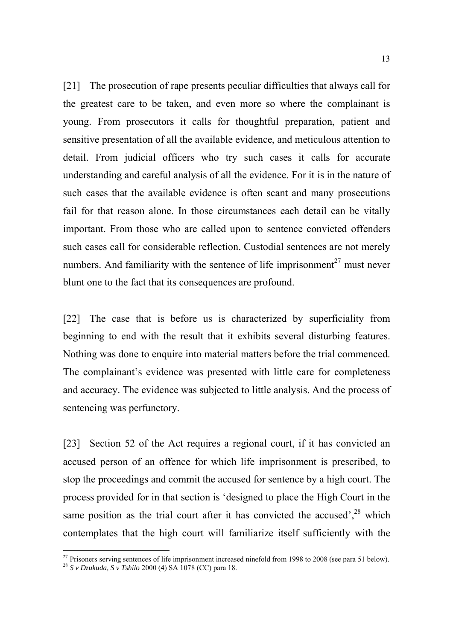[21] The prosecution of rape presents peculiar difficulties that always call for the greatest care to be taken, and even more so where the complainant is young. From prosecutors it calls for thoughtful preparation, patient and sensitive presentation of all the available evidence, and meticulous attention to detail. From judicial officers who try such cases it calls for accurate understanding and careful analysis of all the evidence. For it is in the nature of such cases that the available evidence is often scant and many prosecutions fail for that reason alone. In those circumstances each detail can be vitally important. From those who are called upon to sentence convicted offenders such cases call for considerable reflection. Custodial sentences are not merely numbers. And familiarity with the sentence of life imprisonment<sup>27</sup> must never blunt one to the fact that its consequences are profound.

[22] The case that is before us is characterized by superficiality from beginning to end with the result that it exhibits several disturbing features. Nothing was done to enquire into material matters before the trial commenced. The complainant's evidence was presented with little care for completeness and accuracy. The evidence was subjected to little analysis. And the process of sentencing was perfunctory.

[23] Section 52 of the Act requires a regional court, if it has convicted an accused person of an offence for which life imprisonment is prescribed, to stop the proceedings and commit the accused for sentence by a high court. The process provided for in that section is 'designed to place the High Court in the same position as the trial court after it has convicted the accused',  $28$  which contemplates that the high court will familiarize itself sufficiently with the

 $27$  Prisoners serving sentences of life imprisonment increased ninefold from 1998 to 2008 (see para 51 below).

<sup>28</sup> *S v Dzukuda, S v Tshilo* 2000 (4) SA 1078 (CC) para 18.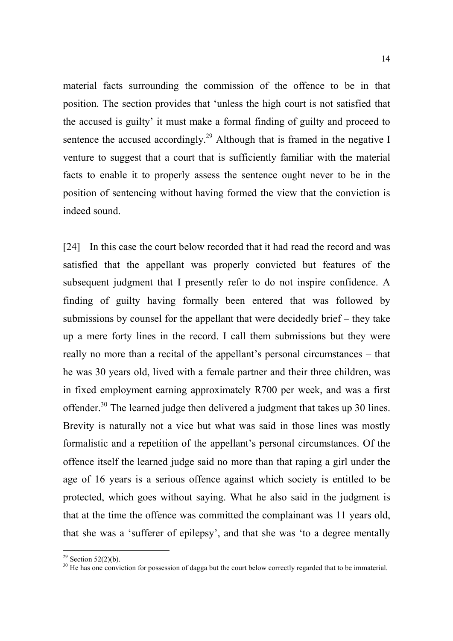material facts surrounding the commission of the offence to be in that position. The section provides that 'unless the high court is not satisfied that the accused is guilty' it must make a formal finding of guilty and proceed to sentence the accused accordingly.<sup>29</sup> Although that is framed in the negative I venture to suggest that a court that is sufficiently familiar with the material facts to enable it to properly assess the sentence ought never to be in the position of sentencing without having formed the view that the conviction is indeed sound.

[24] In this case the court below recorded that it had read the record and was satisfied that the appellant was properly convicted but features of the subsequent judgment that I presently refer to do not inspire confidence. A finding of guilty having formally been entered that was followed by submissions by counsel for the appellant that were decidedly brief – they take up a mere forty lines in the record. I call them submissions but they were really no more than a recital of the appellant's personal circumstances – that he was 30 years old, lived with a female partner and their three children, was in fixed employment earning approximately R700 per week, and was a first offender.<sup>30</sup> The learned judge then delivered a judgment that takes up 30 lines. Brevity is naturally not a vice but what was said in those lines was mostly formalistic and a repetition of the appellant's personal circumstances. Of the offence itself the learned judge said no more than that raping a girl under the age of 16 years is a serious offence against which society is entitled to be protected, which goes without saying. What he also said in the judgment is that at the time the offence was committed the complainant was 11 years old, that she was a 'sufferer of epilepsy', and that she was 'to a degree mentally

<sup>&</sup>lt;sup>29</sup> Section 52(2)(b).

 $30$  He has one conviction for possession of dagga but the court below correctly regarded that to be immaterial.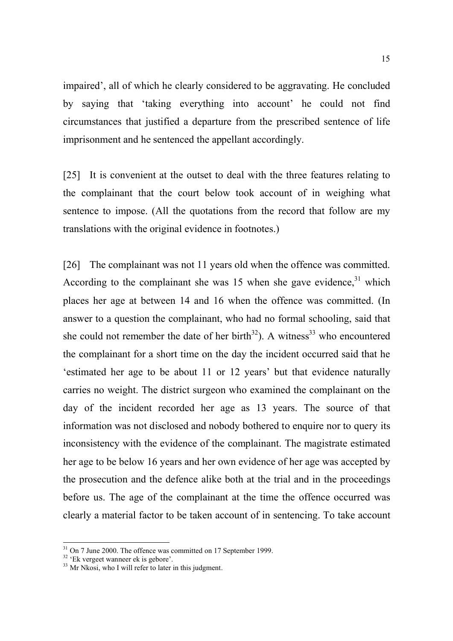impaired', all of which he clearly considered to be aggravating. He concluded by saying that 'taking everything into account' he could not find circumstances that justified a departure from the prescribed sentence of life imprisonment and he sentenced the appellant accordingly.

[25] It is convenient at the outset to deal with the three features relating to the complainant that the court below took account of in weighing what sentence to impose. (All the quotations from the record that follow are my translations with the original evidence in footnotes.)

[26] The complainant was not 11 years old when the offence was committed. According to the complainant she was  $15$  when she gave evidence,  $31$  which places her age at between 14 and 16 when the offence was committed. (In answer to a question the complainant, who had no formal schooling, said that she could not remember the date of her birth $32$ ). A witness  $33$  who encountered the complainant for a short time on the day the incident occurred said that he 'estimated her age to be about 11 or 12 years' but that evidence naturally carries no weight. The district surgeon who examined the complainant on the day of the incident recorded her age as 13 years. The source of that information was not disclosed and nobody bothered to enquire nor to query its inconsistency with the evidence of the complainant. The magistrate estimated her age to be below 16 years and her own evidence of her age was accepted by the prosecution and the defence alike both at the trial and in the proceedings before us. The age of the complainant at the time the offence occurred was clearly a material factor to be taken account of in sentencing. To take account

 $31$  On 7 June 2000. The offence was committed on 17 September 1999.

 $32$  'Ek vergeet wanneer ek is gebore'.

 $33$  Mr Nkosi, who I will refer to later in this judgment.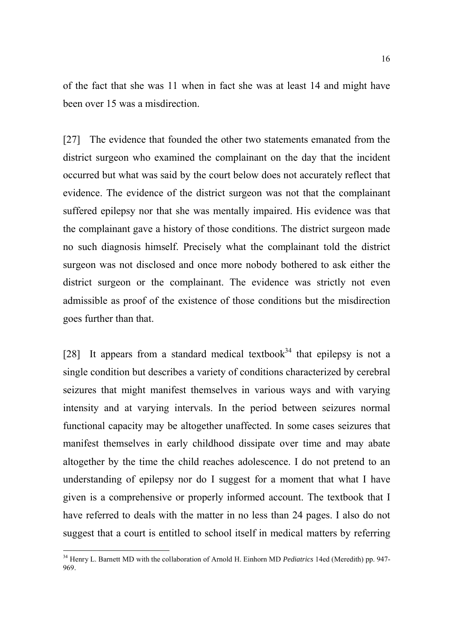of the fact that she was 11 when in fact she was at least 14 and might have been over 15 was a misdirection.

[27] The evidence that founded the other two statements emanated from the district surgeon who examined the complainant on the day that the incident occurred but what was said by the court below does not accurately reflect that evidence. The evidence of the district surgeon was not that the complainant suffered epilepsy nor that she was mentally impaired. His evidence was that the complainant gave a history of those conditions. The district surgeon made no such diagnosis himself. Precisely what the complainant told the district surgeon was not disclosed and once more nobody bothered to ask either the district surgeon or the complainant. The evidence was strictly not even admissible as proof of the existence of those conditions but the misdirection goes further than that.

[28] It appears from a standard medical textbook<sup>34</sup> that epilepsy is not a single condition but describes a variety of conditions characterized by cerebral seizures that might manifest themselves in various ways and with varying intensity and at varying intervals. In the period between seizures normal functional capacity may be altogether unaffected. In some cases seizures that manifest themselves in early childhood dissipate over time and may abate altogether by the time the child reaches adolescence. I do not pretend to an understanding of epilepsy nor do I suggest for a moment that what I have given is a comprehensive or properly informed account. The textbook that I have referred to deals with the matter in no less than 24 pages. I also do not suggest that a court is entitled to school itself in medical matters by referring

<sup>34</sup> Henry L. Barnett MD with the collaboration of Arnold H. Einhorn MD *Pediatrics* 14ed (Meredith) pp. 947- 969.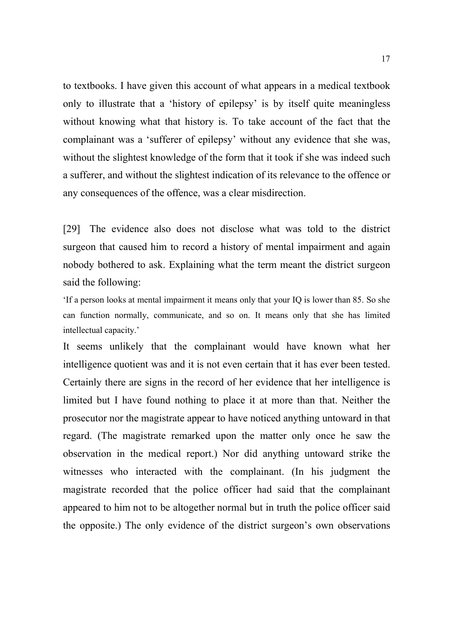to textbooks. I have given this account of what appears in a medical textbook only to illustrate that a 'history of epilepsy' is by itself quite meaningless without knowing what that history is. To take account of the fact that the complainant was a 'sufferer of epilepsy' without any evidence that she was, without the slightest knowledge of the form that it took if she was indeed such a sufferer, and without the slightest indication of its relevance to the offence or any consequences of the offence, was a clear misdirection.

[29] The evidence also does not disclose what was told to the district surgeon that caused him to record a history of mental impairment and again nobody bothered to ask. Explaining what the term meant the district surgeon said the following:

'If a person looks at mental impairment it means only that your IQ is lower than 85. So she can function normally, communicate, and so on. It means only that she has limited intellectual capacity.'

It seems unlikely that the complainant would have known what her intelligence quotient was and it is not even certain that it has ever been tested. Certainly there are signs in the record of her evidence that her intelligence is limited but I have found nothing to place it at more than that. Neither the prosecutor nor the magistrate appear to have noticed anything untoward in that regard. (The magistrate remarked upon the matter only once he saw the observation in the medical report.) Nor did anything untoward strike the witnesses who interacted with the complainant. (In his judgment the magistrate recorded that the police officer had said that the complainant appeared to him not to be altogether normal but in truth the police officer said the opposite.) The only evidence of the district surgeon's own observations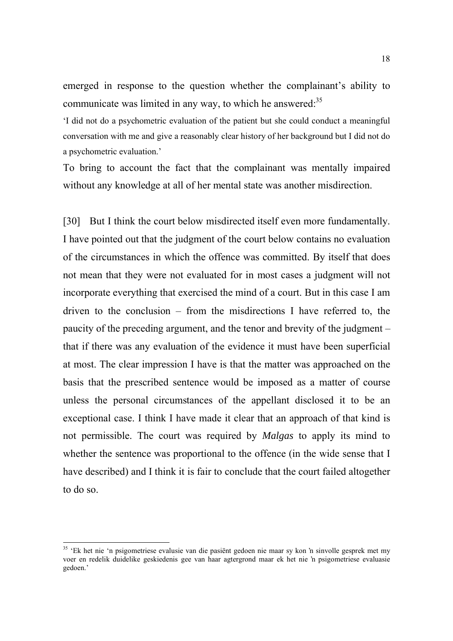emerged in response to the question whether the complainant's ability to communicate was limited in any way, to which he answered: $35$ 

'I did not do a psychometric evaluation of the patient but she could conduct a meaningful conversation with me and give a reasonably clear history of her background but I did not do a psychometric evaluation.'

To bring to account the fact that the complainant was mentally impaired without any knowledge at all of her mental state was another misdirection.

[30] But I think the court below misdirected itself even more fundamentally. I have pointed out that the judgment of the court below contains no evaluation of the circumstances in which the offence was committed. By itself that does not mean that they were not evaluated for in most cases a judgment will not incorporate everything that exercised the mind of a court. But in this case I am driven to the conclusion – from the misdirections I have referred to, the paucity of the preceding argument, and the tenor and brevity of the judgment – that if there was any evaluation of the evidence it must have been superficial at most. The clear impression I have is that the matter was approached on the basis that the prescribed sentence would be imposed as a matter of course unless the personal circumstances of the appellant disclosed it to be an exceptional case. I think I have made it clear that an approach of that kind is not permissible. The court was required by *Malgas* to apply its mind to whether the sentence was proportional to the offence (in the wide sense that I have described) and I think it is fair to conclude that the court failed altogether to do so.

<sup>&</sup>lt;sup>35</sup> 'Ek het nie 'n psigometriese evalusie van die pasiënt gedoen nie maar sy kon 'n sinvolle gesprek met my voer en redelik duidelike geskiedenis gee van haar agtergrond maar ek het nie 'n psigometriese evaluasie gedoen.'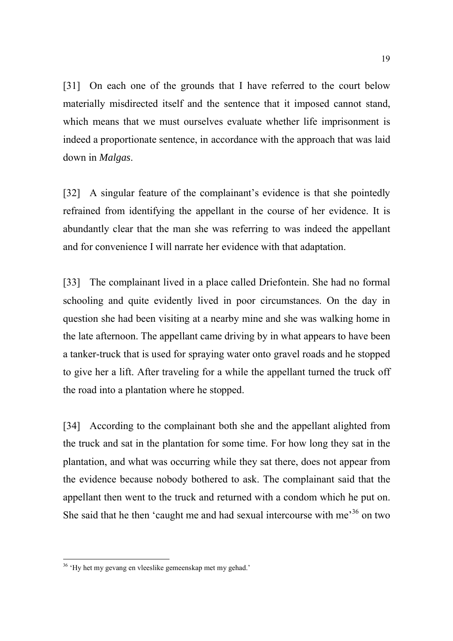[31] On each one of the grounds that I have referred to the court below materially misdirected itself and the sentence that it imposed cannot stand, which means that we must ourselves evaluate whether life imprisonment is indeed a proportionate sentence, in accordance with the approach that was laid down in *Malgas*.

[32] A singular feature of the complainant's evidence is that she pointedly refrained from identifying the appellant in the course of her evidence. It is abundantly clear that the man she was referring to was indeed the appellant and for convenience I will narrate her evidence with that adaptation.

[33] The complainant lived in a place called Driefontein. She had no formal schooling and quite evidently lived in poor circumstances. On the day in question she had been visiting at a nearby mine and she was walking home in the late afternoon. The appellant came driving by in what appears to have been a tanker-truck that is used for spraying water onto gravel roads and he stopped to give her a lift. After traveling for a while the appellant turned the truck off the road into a plantation where he stopped.

[34] According to the complainant both she and the appellant alighted from the truck and sat in the plantation for some time. For how long they sat in the plantation, and what was occurring while they sat there, does not appear from the evidence because nobody bothered to ask. The complainant said that the appellant then went to the truck and returned with a condom which he put on. She said that he then 'caught me and had sexual intercourse with me<sup> $36$ </sup> on two

<sup>&</sup>lt;sup>36</sup> 'Hy het my gevang en vleeslike gemeenskap met my gehad.'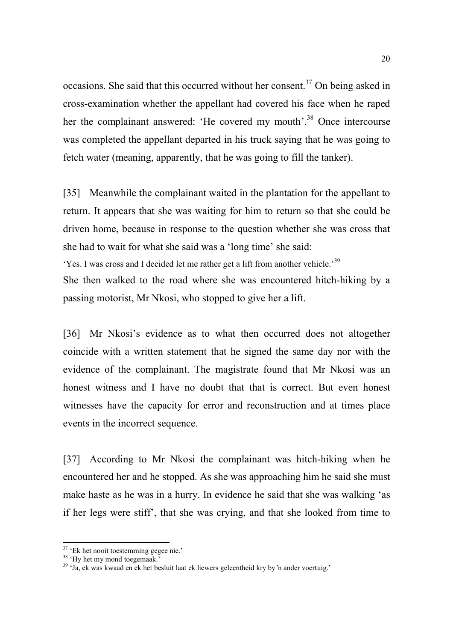occasions. She said that this occurred without her consent.<sup>37</sup> On being asked in cross-examination whether the appellant had covered his face when he raped her the complainant answered: 'He covered my mouth'.<sup>38</sup> Once intercourse was completed the appellant departed in his truck saying that he was going to fetch water (meaning, apparently, that he was going to fill the tanker).

[35] Meanwhile the complainant waited in the plantation for the appellant to return. It appears that she was waiting for him to return so that she could be driven home, because in response to the question whether she was cross that she had to wait for what she said was a 'long time' she said:

'Yes. I was cross and I decided let me rather get a lift from another vehicle.'<sup>39</sup>

She then walked to the road where she was encountered hitch-hiking by a passing motorist, Mr Nkosi, who stopped to give her a lift.

[36] Mr Nkosi's evidence as to what then occurred does not altogether coincide with a written statement that he signed the same day nor with the evidence of the complainant. The magistrate found that Mr Nkosi was an honest witness and I have no doubt that that is correct. But even honest witnesses have the capacity for error and reconstruction and at times place events in the incorrect sequence.

[37] According to Mr Nkosi the complainant was hitch-hiking when he encountered her and he stopped. As she was approaching him he said she must make haste as he was in a hurry. In evidence he said that she was walking 'as if her legs were stiff', that she was crying, and that she looked from time to

<sup>&</sup>lt;sup>37</sup> 'Ek het nooit toestemming gegee nie.'

<sup>&</sup>lt;sup>38</sup> 'Hy het my mond toegemaak.'

<sup>39 &#</sup>x27;Ja, ek was kwaad en ek het besluit laat ek liewers geleentheid kry by 'n ander voertuig.'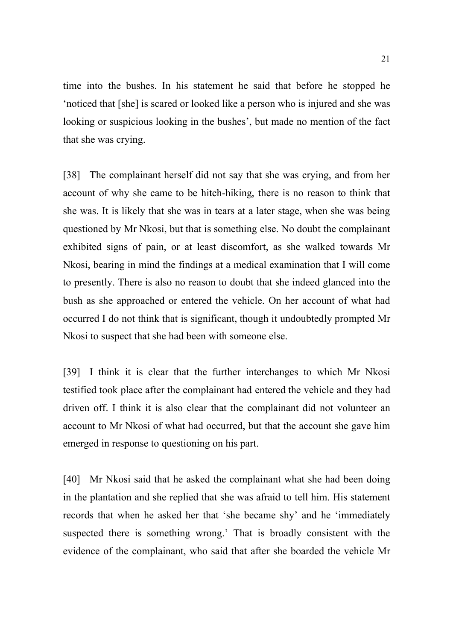time into the bushes. In his statement he said that before he stopped he 'noticed that [she] is scared or looked like a person who is injured and she was looking or suspicious looking in the bushes', but made no mention of the fact that she was crying.

[38] The complainant herself did not say that she was crying, and from her account of why she came to be hitch-hiking, there is no reason to think that she was. It is likely that she was in tears at a later stage, when she was being questioned by Mr Nkosi, but that is something else. No doubt the complainant exhibited signs of pain, or at least discomfort, as she walked towards Mr Nkosi, bearing in mind the findings at a medical examination that I will come to presently. There is also no reason to doubt that she indeed glanced into the bush as she approached or entered the vehicle. On her account of what had occurred I do not think that is significant, though it undoubtedly prompted Mr Nkosi to suspect that she had been with someone else.

[39] I think it is clear that the further interchanges to which Mr Nkosi testified took place after the complainant had entered the vehicle and they had driven off. I think it is also clear that the complainant did not volunteer an account to Mr Nkosi of what had occurred, but that the account she gave him emerged in response to questioning on his part.

[40] Mr Nkosi said that he asked the complainant what she had been doing in the plantation and she replied that she was afraid to tell him. His statement records that when he asked her that 'she became shy' and he 'immediately suspected there is something wrong.' That is broadly consistent with the evidence of the complainant, who said that after she boarded the vehicle Mr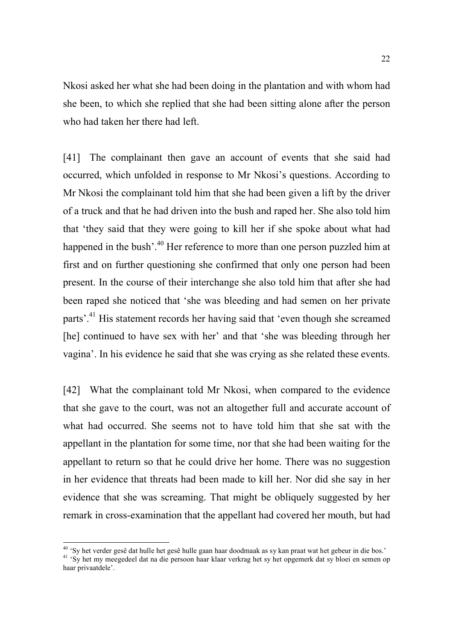Nkosi asked her what she had been doing in the plantation and with whom had she been, to which she replied that she had been sitting alone after the person who had taken her there had left.

[41] The complainant then gave an account of events that she said had occurred, which unfolded in response to Mr Nkosi's questions. According to Mr Nkosi the complainant told him that she had been given a lift by the driver of a truck and that he had driven into the bush and raped her. She also told him that 'they said that they were going to kill her if she spoke about what had happened in the bush'.<sup>40</sup> Her reference to more than one person puzzled him at first and on further questioning she confirmed that only one person had been present. In the course of their interchange she also told him that after she had been raped she noticed that 'she was bleeding and had semen on her private parts'.41 His statement records her having said that 'even though she screamed [he] continued to have sex with her' and that 'she was bleeding through her vagina'. In his evidence he said that she was crying as she related these events.

[42] What the complainant told Mr Nkosi, when compared to the evidence that she gave to the court, was not an altogether full and accurate account of what had occurred. She seems not to have told him that she sat with the appellant in the plantation for some time, nor that she had been waiting for the appellant to return so that he could drive her home. There was no suggestion in her evidence that threats had been made to kill her. Nor did she say in her evidence that she was screaming. That might be obliquely suggested by her remark in cross-examination that the appellant had covered her mouth, but had

<sup>&</sup>lt;sup>40</sup> 'Sy het verder gesê dat hulle het gesê hulle gaan haar doodmaak as sy kan praat wat het gebeur in die bos.'

<sup>&</sup>lt;sup>41</sup> 'Sy het my meegedeel dat na die persoon haar klaar verkrag het sy het opgemerk dat sy bloei en semen op haar privaatdele'.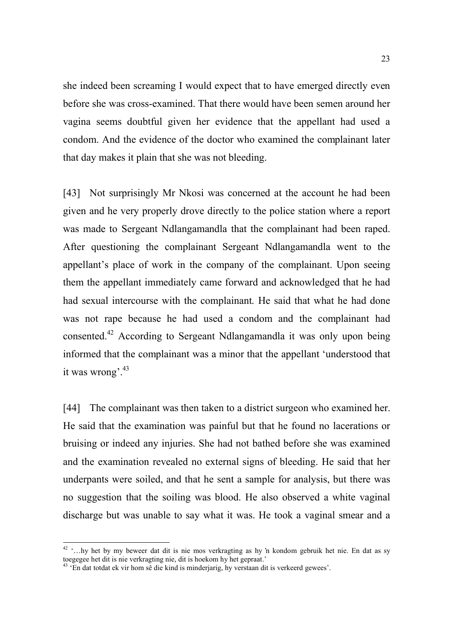she indeed been screaming I would expect that to have emerged directly even before she was cross-examined. That there would have been semen around her vagina seems doubtful given her evidence that the appellant had used a condom. And the evidence of the doctor who examined the complainant later that day makes it plain that she was not bleeding.

[43] Not surprisingly Mr Nkosi was concerned at the account he had been given and he very properly drove directly to the police station where a report was made to Sergeant Ndlangamandla that the complainant had been raped. After questioning the complainant Sergeant Ndlangamandla went to the appellant's place of work in the company of the complainant. Upon seeing them the appellant immediately came forward and acknowledged that he had had sexual intercourse with the complainant. He said that what he had done was not rape because he had used a condom and the complainant had consented.42 According to Sergeant Ndlangamandla it was only upon being informed that the complainant was a minor that the appellant 'understood that it was wrong'.<sup>43</sup>

[44] The complainant was then taken to a district surgeon who examined her. He said that the examination was painful but that he found no lacerations or bruising or indeed any injuries. She had not bathed before she was examined and the examination revealed no external signs of bleeding. He said that her underpants were soiled, and that he sent a sample for analysis, but there was no suggestion that the soiling was blood. He also observed a white vaginal discharge but was unable to say what it was. He took a vaginal smear and a

<sup>42 &#</sup>x27;…hy het by my beweer dat dit is nie mos verkragting as hy 'n kondom gebruik het nie. En dat as sy toegegee het dit is nie verkragting nie, dit is hoekom hy het gepraat.'

<sup>43 &#</sup>x27;En dat totdat ek vir hom sê die kind is minderjarig, hy verstaan dit is verkeerd gewees'.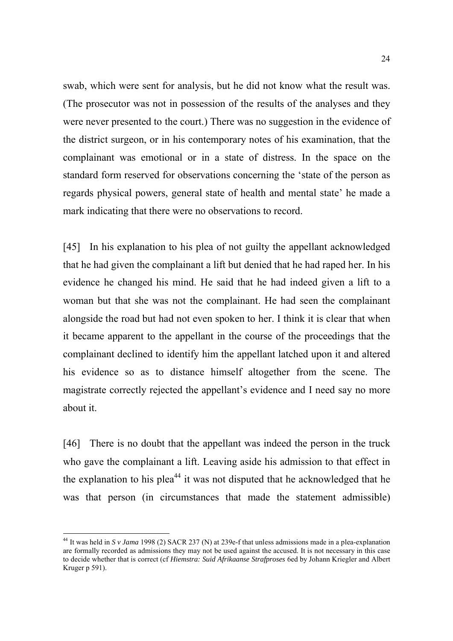swab, which were sent for analysis, but he did not know what the result was. (The prosecutor was not in possession of the results of the analyses and they were never presented to the court.) There was no suggestion in the evidence of the district surgeon, or in his contemporary notes of his examination, that the complainant was emotional or in a state of distress. In the space on the standard form reserved for observations concerning the 'state of the person as regards physical powers, general state of health and mental state' he made a mark indicating that there were no observations to record.

[45] In his explanation to his plea of not guilty the appellant acknowledged that he had given the complainant a lift but denied that he had raped her. In his evidence he changed his mind. He said that he had indeed given a lift to a woman but that she was not the complainant. He had seen the complainant alongside the road but had not even spoken to her. I think it is clear that when it became apparent to the appellant in the course of the proceedings that the complainant declined to identify him the appellant latched upon it and altered his evidence so as to distance himself altogether from the scene. The magistrate correctly rejected the appellant's evidence and I need say no more about it.

[46] There is no doubt that the appellant was indeed the person in the truck who gave the complainant a lift. Leaving aside his admission to that effect in the explanation to his plea<sup>44</sup> it was not disputed that he acknowledged that he was that person (in circumstances that made the statement admissible)

<sup>44</sup> It was held in *S v Jama* 1998 (2) SACR 237 (N) at 239e-f that unless admissions made in a plea-explanation are formally recorded as admissions they may not be used against the accused. It is not necessary in this case to decide whether that is correct (cf *Hiemstra: Suid Afrikaanse Strafproses* 6ed by Johann Kriegler and Albert Kruger p 591).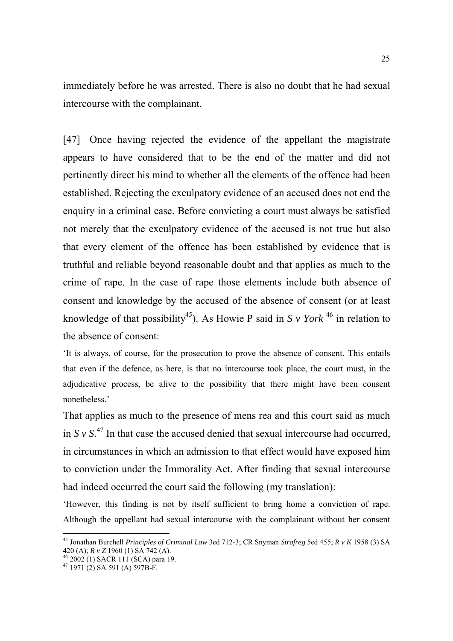immediately before he was arrested. There is also no doubt that he had sexual intercourse with the complainant.

[47] Once having rejected the evidence of the appellant the magistrate appears to have considered that to be the end of the matter and did not pertinently direct his mind to whether all the elements of the offence had been established. Rejecting the exculpatory evidence of an accused does not end the enquiry in a criminal case. Before convicting a court must always be satisfied not merely that the exculpatory evidence of the accused is not true but also that every element of the offence has been established by evidence that is truthful and reliable beyond reasonable doubt and that applies as much to the crime of rape. In the case of rape those elements include both absence of consent and knowledge by the accused of the absence of consent (or at least knowledge of that possibility<sup>45</sup>). As Howie P said in *S v York* <sup>46</sup> in relation to the absence of consent:

'It is always, of course, for the prosecution to prove the absence of consent. This entails that even if the defence, as here, is that no intercourse took place, the court must, in the adjudicative process, be alive to the possibility that there might have been consent nonetheless.'

That applies as much to the presence of mens rea and this court said as much in  $S v S<sup>47</sup>$  In that case the accused denied that sexual intercourse had occurred, in circumstances in which an admission to that effect would have exposed him to conviction under the Immorality Act. After finding that sexual intercourse had indeed occurred the court said the following (my translation):

'However, this finding is not by itself sufficient to bring home a conviction of rape. Although the appellant had sexual intercourse with the complainant without her consent

<sup>45</sup> Jonathan Burchell *Principles of Criminal Law* 3ed 712-3; CR Snyman *Strafreg* 5ed 455; *R v K* 1958 (3) SA 420 (A); *R v Z* 1960 (1) SA 742 (A). 46 2002 (1) SACR 111 (SCA) para 19.

 $^{47}$  1971 (2) SA 591 (A) 597B-F.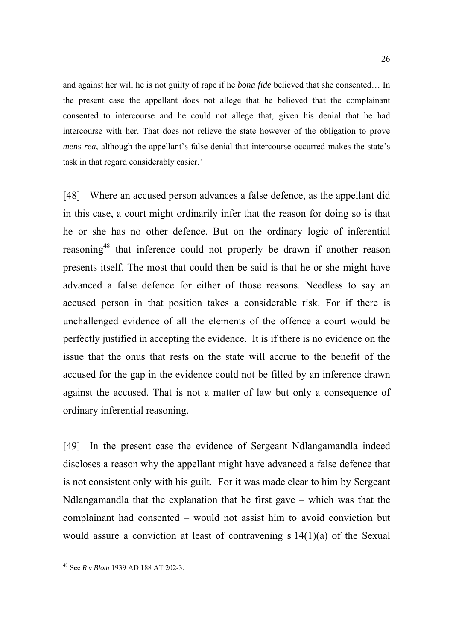and against her will he is not guilty of rape if he *bona fide* believed that she consented… In the present case the appellant does not allege that he believed that the complainant consented to intercourse and he could not allege that, given his denial that he had intercourse with her. That does not relieve the state however of the obligation to prove *mens rea, although the appellant's false denial that intercourse occurred makes the state's* task in that regard considerably easier.'

[48] Where an accused person advances a false defence, as the appellant did in this case, a court might ordinarily infer that the reason for doing so is that he or she has no other defence. But on the ordinary logic of inferential reasoning48 that inference could not properly be drawn if another reason presents itself. The most that could then be said is that he or she might have advanced a false defence for either of those reasons. Needless to say an accused person in that position takes a considerable risk. For if there is unchallenged evidence of all the elements of the offence a court would be perfectly justified in accepting the evidence. It is if there is no evidence on the issue that the onus that rests on the state will accrue to the benefit of the accused for the gap in the evidence could not be filled by an inference drawn against the accused. That is not a matter of law but only a consequence of ordinary inferential reasoning.

[49] In the present case the evidence of Sergeant Ndlangamandla indeed discloses a reason why the appellant might have advanced a false defence that is not consistent only with his guilt. For it was made clear to him by Sergeant Ndlangamandla that the explanation that he first gave – which was that the complainant had consented – would not assist him to avoid conviction but would assure a conviction at least of contravening s 14(1)(a) of the Sexual

<sup>48</sup> See *R v Blom* 1939 AD 188 AT 202-3.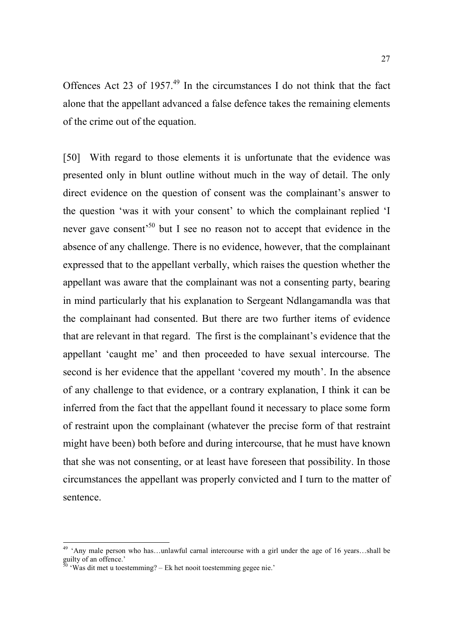Offences Act 23 of 1957.<sup>49</sup> In the circumstances I do not think that the fact alone that the appellant advanced a false defence takes the remaining elements of the crime out of the equation.

[50] With regard to those elements it is unfortunate that the evidence was presented only in blunt outline without much in the way of detail. The only direct evidence on the question of consent was the complainant's answer to the question 'was it with your consent' to which the complainant replied 'I never gave consent<sup>50</sup> but I see no reason not to accept that evidence in the absence of any challenge. There is no evidence, however, that the complainant expressed that to the appellant verbally, which raises the question whether the appellant was aware that the complainant was not a consenting party, bearing in mind particularly that his explanation to Sergeant Ndlangamandla was that the complainant had consented. But there are two further items of evidence that are relevant in that regard. The first is the complainant's evidence that the appellant 'caught me' and then proceeded to have sexual intercourse. The second is her evidence that the appellant 'covered my mouth'. In the absence of any challenge to that evidence, or a contrary explanation, I think it can be inferred from the fact that the appellant found it necessary to place some form of restraint upon the complainant (whatever the precise form of that restraint might have been) both before and during intercourse, that he must have known that she was not consenting, or at least have foreseen that possibility. In those circumstances the appellant was properly convicted and I turn to the matter of sentence.

<sup>&</sup>lt;sup>49</sup> 'Any male person who has...unlawful carnal intercourse with a girl under the age of 16 years...shall be guilty of an offence.'

 $50 \text{ }$  'Was dit met u toestemming? – Ek het nooit toestemming gegee nie.'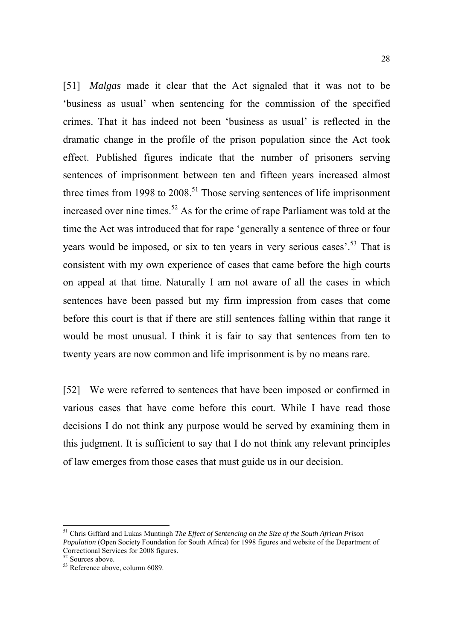[51] *Malgas* made it clear that the Act signaled that it was not to be 'business as usual' when sentencing for the commission of the specified crimes. That it has indeed not been 'business as usual' is reflected in the dramatic change in the profile of the prison population since the Act took effect. Published figures indicate that the number of prisoners serving sentences of imprisonment between ten and fifteen years increased almost three times from 1998 to  $2008$ <sup>51</sup>. Those serving sentences of life imprisonment increased over nine times.<sup>52</sup> As for the crime of rape Parliament was told at the time the Act was introduced that for rape 'generally a sentence of three or four years would be imposed, or six to ten years in very serious cases'.<sup>53</sup> That is consistent with my own experience of cases that came before the high courts on appeal at that time. Naturally I am not aware of all the cases in which sentences have been passed but my firm impression from cases that come before this court is that if there are still sentences falling within that range it would be most unusual. I think it is fair to say that sentences from ten to twenty years are now common and life imprisonment is by no means rare.

[52] We were referred to sentences that have been imposed or confirmed in various cases that have come before this court. While I have read those decisions I do not think any purpose would be served by examining them in this judgment. It is sufficient to say that I do not think any relevant principles of law emerges from those cases that must guide us in our decision.

<sup>51</sup> Chris Giffard and Lukas Muntingh *The Effect of Sentencing on the Size of the South African Prison Population* (Open Society Foundation for South Africa) for 1998 figures and website of the Department of Correctional Services for 2008 figures.

<sup>52</sup> Sources above.

 $53$  Reference above, column 6089.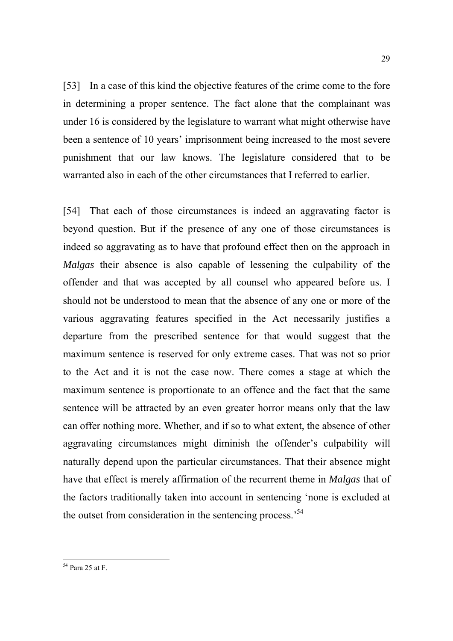[53] In a case of this kind the objective features of the crime come to the fore in determining a proper sentence. The fact alone that the complainant was under 16 is considered by the legislature to warrant what might otherwise have been a sentence of 10 years' imprisonment being increased to the most severe punishment that our law knows. The legislature considered that to be warranted also in each of the other circumstances that I referred to earlier.

[54] That each of those circumstances is indeed an aggravating factor is beyond question. But if the presence of any one of those circumstances is indeed so aggravating as to have that profound effect then on the approach in *Malgas* their absence is also capable of lessening the culpability of the offender and that was accepted by all counsel who appeared before us. I should not be understood to mean that the absence of any one or more of the various aggravating features specified in the Act necessarily justifies a departure from the prescribed sentence for that would suggest that the maximum sentence is reserved for only extreme cases. That was not so prior to the Act and it is not the case now. There comes a stage at which the maximum sentence is proportionate to an offence and the fact that the same sentence will be attracted by an even greater horror means only that the law can offer nothing more. Whether, and if so to what extent, the absence of other aggravating circumstances might diminish the offender's culpability will naturally depend upon the particular circumstances. That their absence might have that effect is merely affirmation of the recurrent theme in *Malgas* that of the factors traditionally taken into account in sentencing 'none is excluded at the outset from consideration in the sentencing process.'54

<sup>54</sup> Para 25 at F.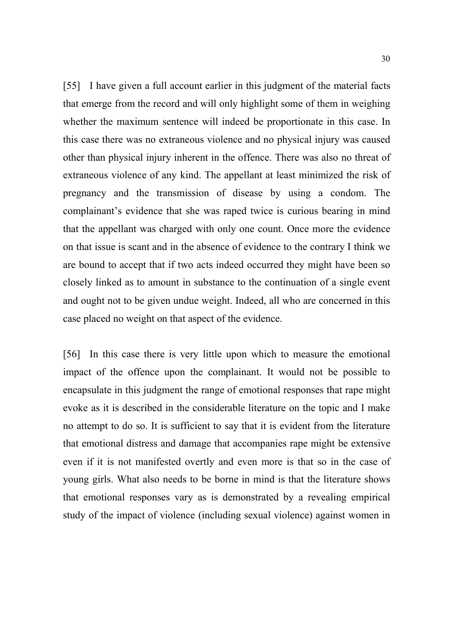[55] I have given a full account earlier in this judgment of the material facts that emerge from the record and will only highlight some of them in weighing whether the maximum sentence will indeed be proportionate in this case. In this case there was no extraneous violence and no physical injury was caused other than physical injury inherent in the offence. There was also no threat of extraneous violence of any kind. The appellant at least minimized the risk of pregnancy and the transmission of disease by using a condom. The complainant's evidence that she was raped twice is curious bearing in mind that the appellant was charged with only one count. Once more the evidence on that issue is scant and in the absence of evidence to the contrary I think we are bound to accept that if two acts indeed occurred they might have been so closely linked as to amount in substance to the continuation of a single event and ought not to be given undue weight. Indeed, all who are concerned in this case placed no weight on that aspect of the evidence.

[56] In this case there is very little upon which to measure the emotional impact of the offence upon the complainant. It would not be possible to encapsulate in this judgment the range of emotional responses that rape might evoke as it is described in the considerable literature on the topic and I make no attempt to do so. It is sufficient to say that it is evident from the literature that emotional distress and damage that accompanies rape might be extensive even if it is not manifested overtly and even more is that so in the case of young girls. What also needs to be borne in mind is that the literature shows that emotional responses vary as is demonstrated by a revealing empirical study of the impact of violence (including sexual violence) against women in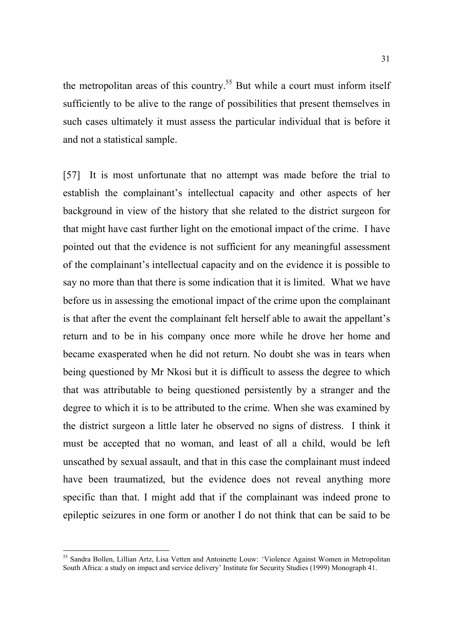the metropolitan areas of this country.<sup>55</sup> But while a court must inform itself sufficiently to be alive to the range of possibilities that present themselves in such cases ultimately it must assess the particular individual that is before it and not a statistical sample.

[57] It is most unfortunate that no attempt was made before the trial to establish the complainant's intellectual capacity and other aspects of her background in view of the history that she related to the district surgeon for that might have cast further light on the emotional impact of the crime. I have pointed out that the evidence is not sufficient for any meaningful assessment of the complainant's intellectual capacity and on the evidence it is possible to say no more than that there is some indication that it is limited. What we have before us in assessing the emotional impact of the crime upon the complainant is that after the event the complainant felt herself able to await the appellant's return and to be in his company once more while he drove her home and became exasperated when he did not return. No doubt she was in tears when being questioned by Mr Nkosi but it is difficult to assess the degree to which that was attributable to being questioned persistently by a stranger and the degree to which it is to be attributed to the crime. When she was examined by the district surgeon a little later he observed no signs of distress. I think it must be accepted that no woman, and least of all a child, would be left unscathed by sexual assault, and that in this case the complainant must indeed have been traumatized, but the evidence does not reveal anything more specific than that. I might add that if the complainant was indeed prone to epileptic seizures in one form or another I do not think that can be said to be

<sup>&</sup>lt;sup>55</sup> Sandra Bollen, Lillian Artz, Lisa Vetten and Antoinette Louw: 'Violence Against Women in Metropolitan South Africa: a study on impact and service delivery' Institute for Security Studies (1999) Monograph 41.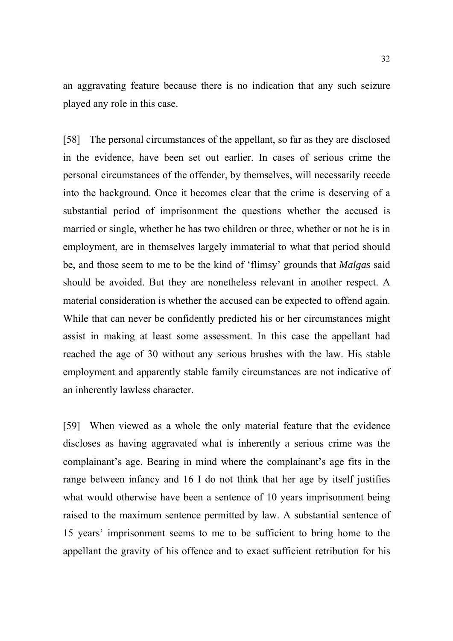an aggravating feature because there is no indication that any such seizure played any role in this case.

[58] The personal circumstances of the appellant, so far as they are disclosed in the evidence, have been set out earlier. In cases of serious crime the personal circumstances of the offender, by themselves, will necessarily recede into the background. Once it becomes clear that the crime is deserving of a substantial period of imprisonment the questions whether the accused is married or single, whether he has two children or three, whether or not he is in employment, are in themselves largely immaterial to what that period should be, and those seem to me to be the kind of 'flimsy' grounds that *Malgas* said should be avoided. But they are nonetheless relevant in another respect. A material consideration is whether the accused can be expected to offend again. While that can never be confidently predicted his or her circumstances might assist in making at least some assessment. In this case the appellant had reached the age of 30 without any serious brushes with the law. His stable employment and apparently stable family circumstances are not indicative of an inherently lawless character.

[59] When viewed as a whole the only material feature that the evidence discloses as having aggravated what is inherently a serious crime was the complainant's age. Bearing in mind where the complainant's age fits in the range between infancy and 16 I do not think that her age by itself justifies what would otherwise have been a sentence of 10 years imprisonment being raised to the maximum sentence permitted by law. A substantial sentence of 15 years' imprisonment seems to me to be sufficient to bring home to the appellant the gravity of his offence and to exact sufficient retribution for his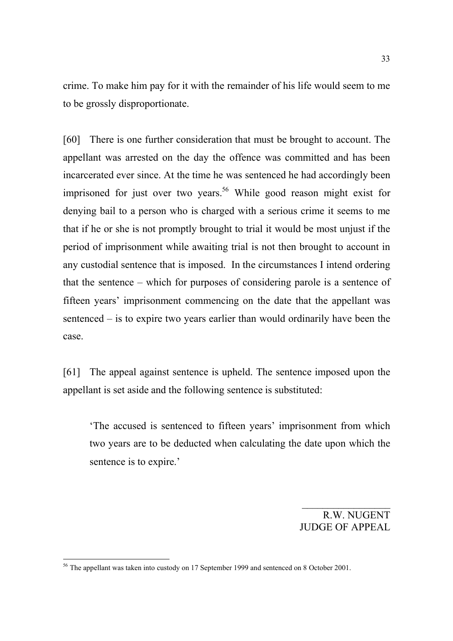crime. To make him pay for it with the remainder of his life would seem to me to be grossly disproportionate.

[60] There is one further consideration that must be brought to account. The appellant was arrested on the day the offence was committed and has been incarcerated ever since. At the time he was sentenced he had accordingly been imprisoned for just over two years.<sup>56</sup> While good reason might exist for denying bail to a person who is charged with a serious crime it seems to me that if he or she is not promptly brought to trial it would be most unjust if the period of imprisonment while awaiting trial is not then brought to account in any custodial sentence that is imposed. In the circumstances I intend ordering that the sentence – which for purposes of considering parole is a sentence of fifteen years' imprisonment commencing on the date that the appellant was sentenced – is to expire two years earlier than would ordinarily have been the case.

[61] The appeal against sentence is upheld. The sentence imposed upon the appellant is set aside and the following sentence is substituted:

'The accused is sentenced to fifteen years' imprisonment from which two years are to be deducted when calculating the date upon which the sentence is to expire.'

> R.W. NUGENT JUDGE OF APPEAL

 $56$  The appellant was taken into custody on 17 September 1999 and sentenced on 8 October 2001.